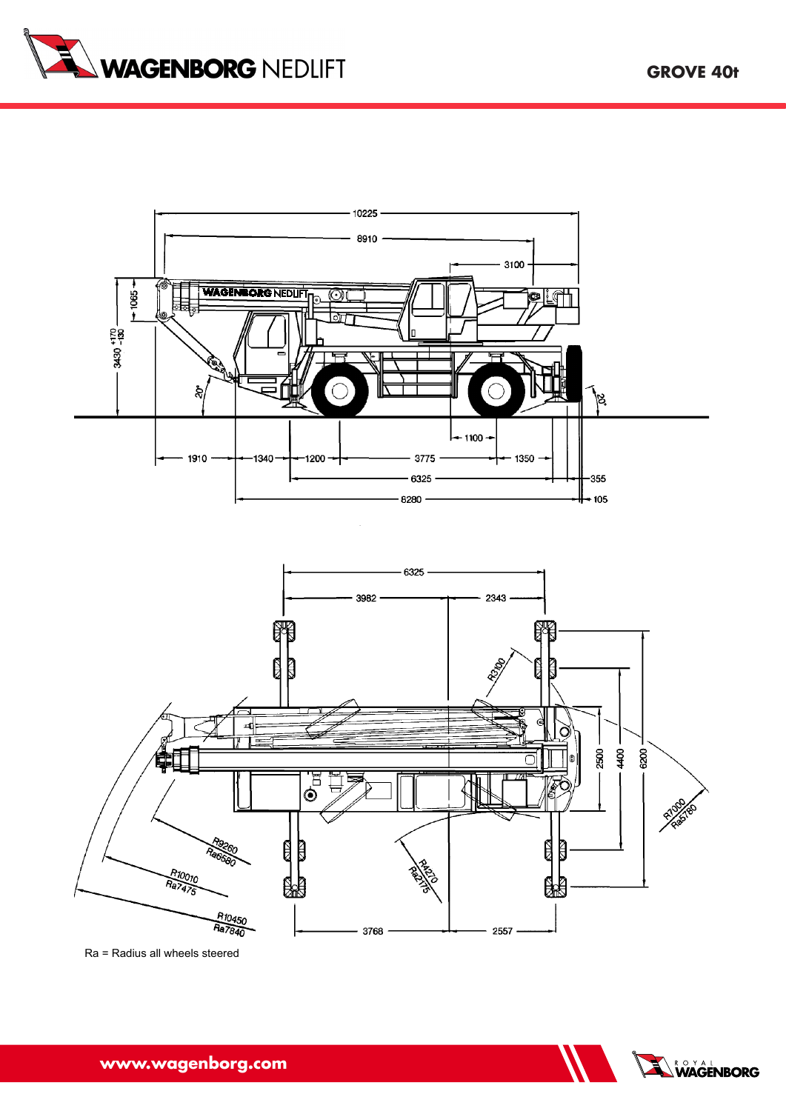



**www.wagenborg.com**

**Grove 35 t**

Ra = Radius all wheels steered

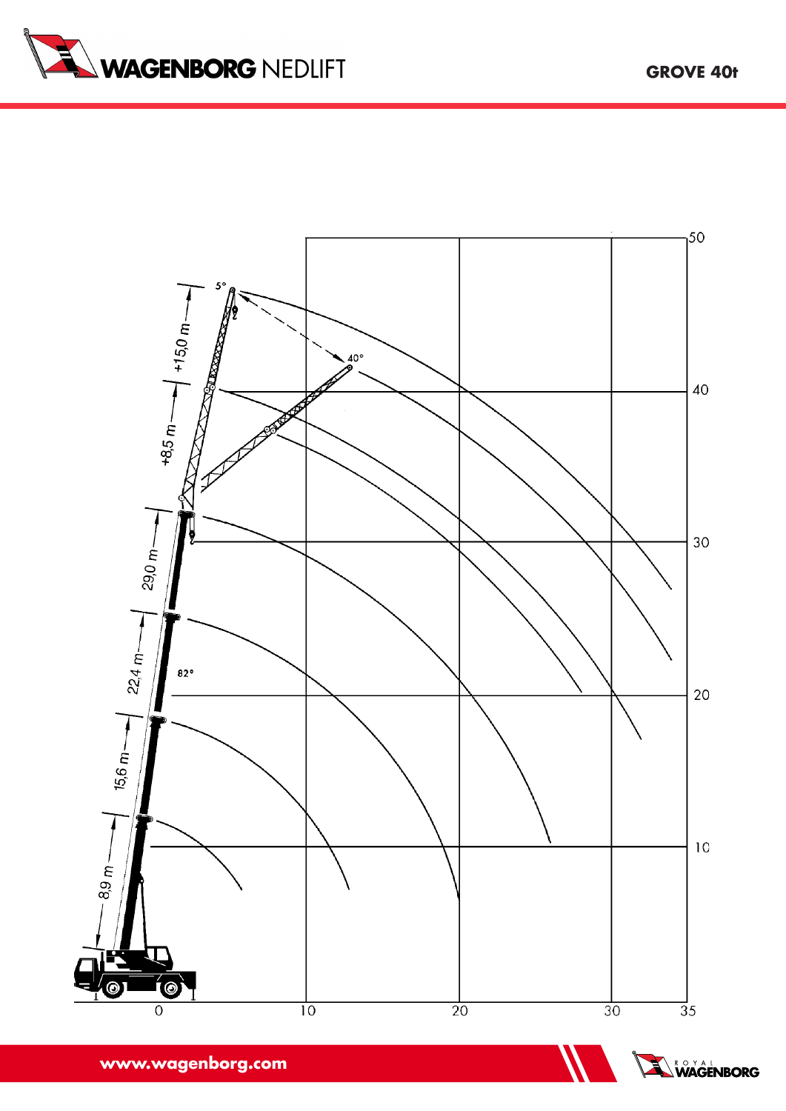





**www.wagenborg.com www.wagenborg.com**

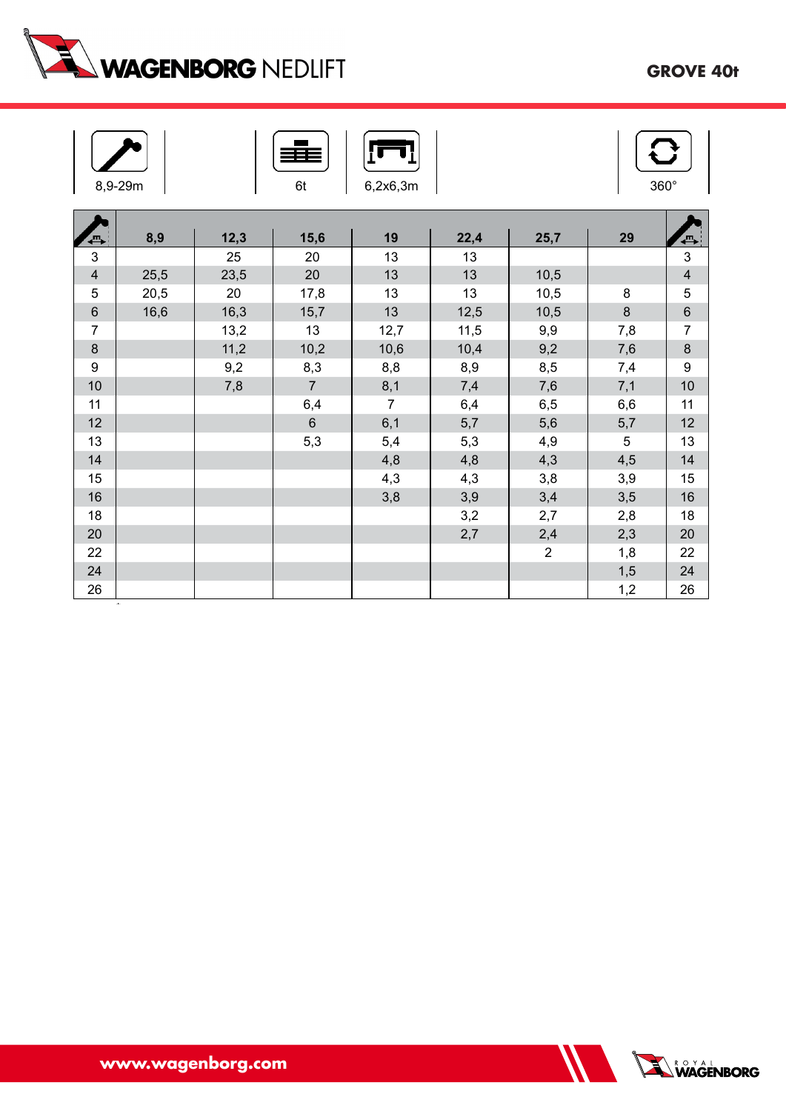

| 8,9-29m<br>6t<br>6,2x6,3m |      |      |                |                |      |                |            |                          |  |
|---------------------------|------|------|----------------|----------------|------|----------------|------------|--------------------------|--|
| {℡                        | 8,9  | 12,3 | 15,6           | 19             | 22,4 | 25,7           | 29         | $\overline{\phantom{a}}$ |  |
| 3                         |      | 25   | 20             | 13             | 13   |                |            | $\mathfrak{S}$           |  |
| $\overline{\mathbf{4}}$   | 25,5 | 23,5 | 20             | 13             | 13   | 10,5           |            | $\overline{4}$           |  |
| $\overline{5}$            | 20,5 | 20   | 17,8           | 13             | 13   | 10,5           | 8          | $\mathbf 5$              |  |
| $\,6$                     | 16,6 | 16,3 | 15,7           | 13             | 12,5 | 10,5           | $\bf 8$    | $\,6$                    |  |
| $\overline{7}$            |      | 13,2 | 13             | 12,7           | 11,5 | 9,9            | 7,8        | $\boldsymbol{7}$         |  |
| $\bf 8$                   |      | 11,2 | 10,2           | 10,6           | 10,4 | 9,2            | 7,6        | $\bf 8$                  |  |
| 9                         |      | 9,2  | 8,3            | 8,8            | 8,9  | 8,5            | 7,4        | $\boldsymbol{9}$         |  |
| 10                        |      | 7,8  | $\overline{7}$ | 8,1            | 7,4  | 7,6            | 7,1        | 10                       |  |
| 11                        |      |      | 6,4            | $\overline{7}$ | 6,4  | 6,5            | 6,6        | 11                       |  |
| 12                        |      |      | $\,6\,$        | 6,1            | 5,7  | 5,6            | 5,7        | 12                       |  |
| 13                        |      |      | 5,3            | 5,4            | 5,3  | 4,9            | $\sqrt{5}$ | 13                       |  |
| 14                        |      |      |                | 4,8            | 4,8  | 4,3            | 4,5        | 14                       |  |
| 15                        |      |      |                | 4,3            | 4,3  | 3,8            | 3,9        | 15                       |  |
| 16                        |      |      |                | 3,8            | 3,9  | 3,4            | 3,5        | 16                       |  |
| 18                        |      |      |                |                | 3,2  | 2,7            | 2,8        | 18                       |  |
| 20                        |      |      |                |                | 2,7  | 2,4            | 2,3        | 20                       |  |
| 22                        |      |      |                |                |      | $\overline{2}$ | 1,8        | 22                       |  |
| 24                        |      |      |                |                |      |                | 1,5        | 24                       |  |
| 26                        |      |      |                |                |      |                | 1,2        | 26                       |  |

**www.wagenborg.com**



\* over rear